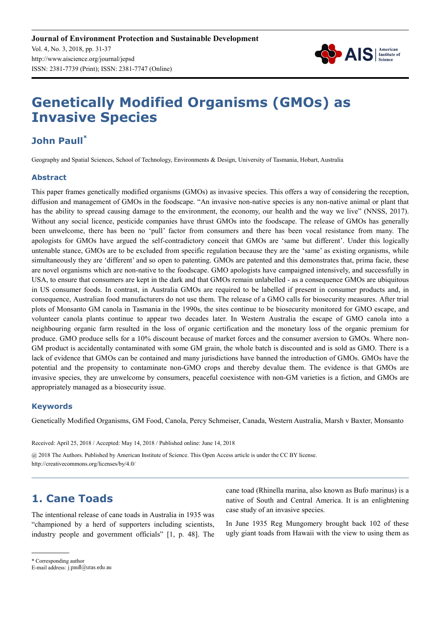

# **Genetically Modified Organisms (GMOs) as Invasive Species**

# **John Paull\***

Geography and Spatial Sciences, School of Technology, Environments & Design, University of Tasmania, Hobart, Australia

### **Abstract**

This paper frames genetically modified organisms (GMOs) as invasive species. This offers a way of considering the reception, diffusion and management of GMOs in the foodscape. "An invasive non-native species is any non-native animal or plant that has the ability to spread causing damage to the environment, the economy, our health and the way we live" (NNSS, 2017). Without any social licence, pesticide companies have thrust GMOs into the foodscape. The release of GMOs has generally been unwelcome, there has been no 'pull' factor from consumers and there has been vocal resistance from many. The apologists for GMOs have argued the self-contradictory conceit that GMOs are 'same but different'. Under this logically untenable stance, GMOs are to be excluded from specific regulation because they are the 'same' as existing organisms, while simultaneously they are 'different' and so open to patenting. GMOs are patented and this demonstrates that, prima facie, these are novel organisms which are non-native to the foodscape. GMO apologists have campaigned intensively, and successfully in USA, to ensure that consumers are kept in the dark and that GMOs remain unlabelled - as a consequence GMOs are ubiquitous in US consumer foods. In contrast, in Australia GMOs are required to be labelled if present in consumer products and, in consequence, Australian food manufacturers do not use them. The release of a GMO calls for biosecurity measures. After trial plots of Monsanto GM canola in Tasmania in the 1990s, the sites continue to be biosecurity monitored for GMO escape, and volunteer canola plants continue to appear two decades later. In Western Australia the escape of GMO canola into a neighbouring organic farm resulted in the loss of organic certification and the monetary loss of the organic premium for produce. GMO produce sells for a 10% discount because of market forces and the consumer aversion to GMOs. Where non-GM product is accidentally contaminated with some GM grain, the whole batch is discounted and is sold as GMO. There is a lack of evidence that GMOs can be contained and many jurisdictions have banned the introduction of GMOs. GMOs have the potential and the propensity to contaminate non-GMO crops and thereby devalue them. The evidence is that GMOs are invasive species, they are unwelcome by consumers, peaceful coexistence with non-GM varieties is a fiction, and GMOs are appropriately managed as a biosecurity issue.

### **Keywords**

Genetically Modified Organisms, GM Food, Canola, Percy Schmeiser, Canada, Western Australia, Marsh v Baxter, Monsanto

Received: April 25, 2018 / Accepted: May 14, 2018 / Published online: June 14, 2018

@ 2018 The Authors. Published by American Institute of Science. This Open Access article is under the CC BY license. http://creativecommons.org/licenses/by/4.0/

# **1. Cane Toads**

The intentional release of cane toads in Australia in 1935 was "championed by a herd of supporters including scientists, industry people and government officials" [1, p. 48]. The cane toad (Rhinella marina, also known as Bufo marinus) is a native of South and Central America. It is an enlightening case study of an invasive species.

In June 1935 Reg Mungomery brought back 102 of these ugly giant toads from Hawaii with the view to using them as

<sup>\*</sup> Corresponding author

E-mail address: j.paull@utas.edu.au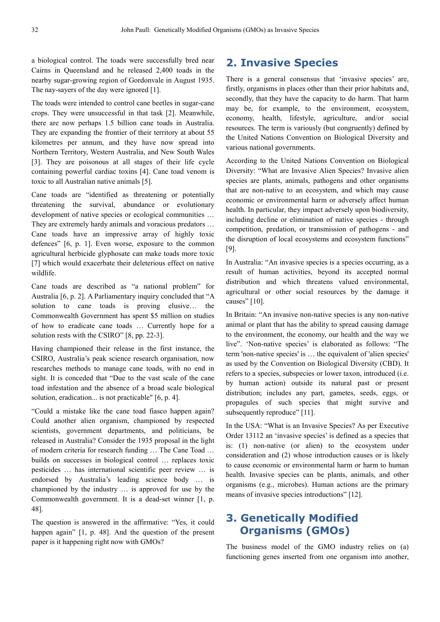a biological control. The toads were successfully bred near Cairns in Queensland and he released 2,400 toads in the nearby sugar-growing region of Gordonvale in August 1935. The nay-sayers of the day were ignored [1].

The toads were intended to control cane beetles in sugar-cane crops. They were unsuccessful in that task [2]. Meanwhile, there are now perhaps 1.5 billion cane toads in Australia. They are expanding the frontier of their territory at about 55 kilometres per annum, and they have now spread into Northern Territory, Western Australia, and New South Wales [3]. They are poisonous at all stages of their life cycle containing powerful cardiac toxins [4]. Cane toad venom is toxic to all Australian native animals [5].

Cane toads are "identified as threatening or potentially threatening the survival, abundance or evolutionary development of native species or ecological communities … They are extremely hardy animals and voracious predators … Cane toads have an impressive array of highly toxic defences" [6, p. 1]. Even worse, exposure to the common agricultural herbicide glyphosate can make toads more toxic [7] which would exacerbate their deleterious effect on native wildlife.

Cane toads are described as "a national problem" for Australia [6, p. 2]. A Parliamentary inquiry concluded that "A solution to cane toads is proving elusive… the Commonwealth Government has spent \$5 million on studies of how to eradicate cane toads … Currently hope for a solution rests with the CSIRO" [8, pp. 22-3].

Having championed their release in the first instance, the CSIRO, Australia's peak science research organisation, now researches methods to manage cane toads, with no end in sight. It is conceded that "Due to the vast scale of the cane toad infestation and the absence of a broad scale biological solution, eradication... is not practicable" [6, p. 4].

"Could a mistake like the cane toad fiasco happen again? Could another alien organism, championed by respected scientists, government departments, and politicians, be released in Australia? Consider the 1935 proposal in the light of modern criteria for research funding … The Cane Toad … builds on successes in biological control … replaces toxic pesticides … has international scientific peer review … is endorsed by Australia's leading science body … is championed by the industry … is approved for use by the Commonwealth government. It is a dead-set winner [1, p. 48].

The question is answered in the affirmative: "Yes, it could happen again" [1, p. 48]. And the question of the present paper is it happening right now with GMOs?

### **2. Invasive Species**

There is a general consensus that 'invasive species' are, firstly, organisms in places other than their prior habitats and, secondly, that they have the capacity to do harm. That harm may be, for example, to the environment, ecosystem, economy, health, lifestyle, agriculture, and/or social resources. The term is variously (but congruently) defined by the United Nations Convention on Biological Diversity and various national governments.

According to the United Nations Convention on Biological Diversity: "What are Invasive Alien Species? Invasive alien species are plants, animals, pathogens and other organisms that are non-native to an ecosystem, and which may cause economic or environmental harm or adversely affect human health. In particular, they impact adversely upon biodiversity, including decline or elimination of native species - through competition, predation, or transmission of pathogens - and the disruption of local ecosystems and ecosystem functions" [9].

In Australia: "An invasive species is a species occurring, as a result of human activities, beyond its accepted normal distribution and which threatens valued environmental, agricultural or other social resources by the damage it causes" [10].

In Britain: "An invasive non-native species is any non-native animal or plant that has the ability to spread causing damage to the environment, the economy, our health and the way we live". 'Non-native species' is elaborated as follows: "The term 'non-native species' is … the equivalent of 'alien species' as used by the Convention on Biological Diversity (CBD). It refers to a species, subspecies or lower taxon, introduced (i.e. by human action) outside its natural past or present distribution; includes any part, gametes, seeds, eggs, or propagules of such species that might survive and subsequently reproduce" [11].

In the USA: "What is an Invasive Species? As per Executive Order 13112 an 'invasive species' is defined as a species that is: (1) non-native (or alien) to the ecosystem under consideration and (2) whose introduction causes or is likely to cause economic or environmental harm or harm to human health. Invasive species can be plants, animals, and other organisms (e.g., microbes). Human actions are the primary means of invasive species introductions" [12].

# **3. Genetically Modified Organisms (GMOs)**

The business model of the GMO industry relies on (a) functioning genes inserted from one organism into another,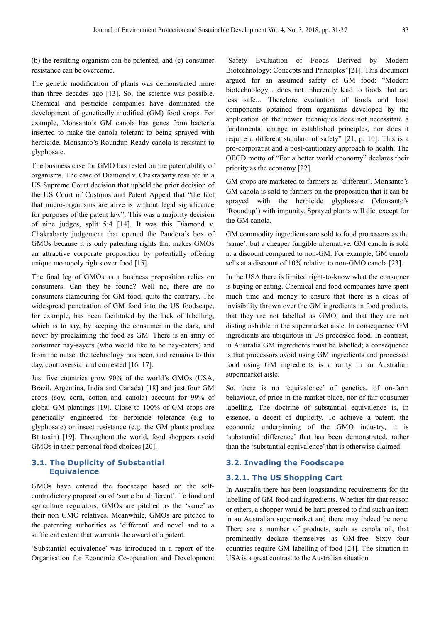(b) the resulting organism can be patented, and (c) consumer resistance can be overcome.

The genetic modification of plants was demonstrated more than three decades ago [13]. So, the science was possible. Chemical and pesticide companies have dominated the development of genetically modified (GM) food crops. For example, Monsanto's GM canola has genes from bacteria inserted to make the canola tolerant to being sprayed with herbicide. Monsanto's Roundup Ready canola is resistant to glyphosate.

The business case for GMO has rested on the patentability of organisms. The case of Diamond v. Chakrabarty resulted in a US Supreme Court decision that upheld the prior decision of the US Court of Customs and Patent Appeal that "the fact that micro-organisms are alive is without legal significance for purposes of the patent law". This was a majority decision of nine judges, split 5:4 [14]. It was this Diamond v. Chakrabarty judgement that opened the Pandora's box of GMOs because it is only patenting rights that makes GMOs an attractive corporate proposition by potentially offering unique monopoly rights over food [15].

The final leg of GMOs as a business proposition relies on consumers. Can they be found? Well no, there are no consumers clamouring for GM food, quite the contrary. The widespread penetration of GM food into the US foodscape, for example, has been facilitated by the lack of labelling, which is to say, by keeping the consumer in the dark, and never by proclaiming the food as GM. There is an army of consumer nay-sayers (who would like to be nay-eaters) and from the outset the technology has been, and remains to this day, controversial and contested [16, 17].

Just five countries grow 90% of the world's GMOs (USA, Brazil, Argentina, India and Canada) [18] and just four GM crops (soy, corn, cotton and canola) account for 99% of global GM plantings [19]. Close to 100% of GM crops are genetically engineered for herbicide tolerance (e.g to glyphosate) or insect resistance (e.g. the GM plants produce Bt toxin) [19]. Throughout the world, food shoppers avoid GMOs in their personal food choices [20].

#### **3.1. The Duplicity of Substantial Equivalence**

GMOs have entered the foodscape based on the selfcontradictory proposition of 'same but different'. To food and agriculture regulators, GMOs are pitched as the 'same' as their non GMO relatives. Meanwhile, GMOs are pitched to the patenting authorities as 'different' and novel and to a sufficient extent that warrants the award of a patent.

'Substantial equivalence' was introduced in a report of the Organisation for Economic Co-operation and Development 'Safety Evaluation of Foods Derived by Modern Biotechnology: Concepts and Principles' [21]. This document argued for an assumed safety of GM food: "Modern biotechnology... does not inherently lead to foods that are less safe... Therefore evaluation of foods and food components obtained from organisms developed by the application of the newer techniques does not necessitate a fundamental change in established principles, nor does it require a different standard of safety" [21, p. 10]. This is a pro-corporatist and a post-cautionary approach to health. The OECD motto of "For a better world economy" declares their priority as the economy [22].

GM crops are marketed to farmers as 'different'. Monsanto's GM canola is sold to farmers on the proposition that it can be sprayed with the herbicide glyphosate (Monsanto's 'Roundup') with impunity. Sprayed plants will die, except for the GM canola.

GM commodity ingredients are sold to food processors as the 'same', but a cheaper fungible alternative. GM canola is sold at a discount compared to non-GM. For example, GM canola sells at a discount of 10% relative to non-GMO canola [23].

In the USA there is limited right-to-know what the consumer is buying or eating. Chemical and food companies have spent much time and money to ensure that there is a cloak of invisibility thrown over the GM ingredients in food products, that they are not labelled as GMO, and that they are not distinguishable in the supermarket aisle. In consequence GM ingredients are ubiquitous in US processed food. In contrast, in Australia GM ingredients must be labelled; a consequence is that processors avoid using GM ingredients and processed food using GM ingredients is a rarity in an Australian supermarket aisle.

So, there is no 'equivalence' of genetics, of on-farm behaviour, of price in the market place, nor of fair consumer labelling. The doctrine of substantial equivalence is, in essence, a deceit of duplicity. To achieve a patent, the economic underpinning of the GMO industry, it is 'substantial difference' that has been demonstrated, rather than the 'substantial equivalence' that is otherwise claimed.

#### **3.2. Invading the Foodscape**

#### **3.2.1. The US Shopping Cart**

In Australia there has been longstanding requirements for the labelling of GM food and ingredients. Whether for that reason or others, a shopper would be hard pressed to find such an item in an Australian supermarket and there may indeed be none. There are a number of products, such as canola oil, that prominently declare themselves as GM-free. Sixty four countries require GM labelling of food [24]. The situation in USA is a great contrast to the Australian situation.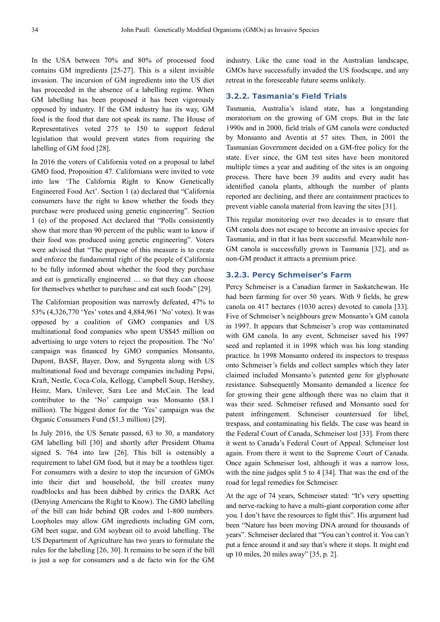In the USA between 70% and 80% of processed food contains GM ingredients [25-27]. This is a silent invisible invasion. The incursion of GM ingredients into the US diet has proceeded in the absence of a labelling regime. When GM labelling has been proposed it has been vigorously opposed by industry. If the GM industry has its way, GM food is the food that dare not speak its name. The House of Representatives voted 275 to 150 to support federal legislation that would prevent states from requiring the labelling of GM food [28].

In 2016 the voters of California voted on a proposal to label GMO food, Proposition 47. Californians were invited to vote into law 'The California Right to Know Genetically Engineered Food Act'. Section 1 (a) declared that "California consumers have the right to know whether the foods they purchase were produced using genetic engineering". Section 1 (e) of the proposed Act declared that "Polls consistently show that more than 90 percent of the public want to know if their food was produced using genetic engineering". Voters were advised that "The purpose of this measure is to create and enforce the fundamental right of the people of California to be fully informed about whether the food they purchase and eat is genetically engineered … so that they can choose for themselves whether to purchase and eat such foods" [29].

The Californian proposition was narrowly defeated, 47% to 53% (4,326,770 'Yes' votes and 4,884,961 'No' votes). It was opposed by a coalition of GMO companies and US multinational food companies who spent US\$45 million on advertising to urge voters to reject the proposition. The 'No' campaign was financed by GMO companies Monsanto, Dupont, BASF, Bayer, Dow, and Syngenta along with US multinational food and beverage companies including Pepsi, Kraft, Nestle, Coca-Cola, Kellogg, Campbell Soup, Hershey, Heinz, Mars, Unilever, Sara Lee and McCain. The lead contributor to the 'No' campaign was Monsanto (\$8.1 million). The biggest donor for the 'Yes' campaign was the Organic Consumers Fund (\$1.3 million) [29].

In July 2016, the US Senate passed, 63 to 30, a mandatory GM labelling bill [30] and shortly after President Obama signed S. 764 into law [26]. This bill is ostensibly a requirement to label GM food, but it may be a toothless tiger. For consumers with a desire to stop the incursion of GMOs into their diet and household, the bill creates many roadblocks and has been dubbed by critics the DARK Act (Denying Americans the Right to Know). The GMO labelling of the bill can hide behind QR codes and 1-800 numbers. Loopholes may allow GM ingredients including GM corn, GM beet sugar, and GM soybean oil to avoid labelling. The US Department of Agriculture has two years to formulate the rules for the labelling [26, 30]. It remains to be seen if the bill is just a sop for consumers and a de facto win for the GM industry. Like the cane toad in the Australian landscape, GMOs have successfully invaded the US foodscape, and any retreat in the foreseeable future seems unlikely.

#### **3.2.2. Tasmania's Field Trials**

Tasmania, Australia's island state, has a longstanding moratorium on the growing of GM crops. But in the late 1990s and in 2000, field trials of GM canola were conducted by Monsanto and Aventis at 57 sites. Then, in 2001 the Tasmanian Government decided on a GM-free policy for the state. Ever since, the GM test sites have been monitored multiple times a year and auditing of the sites is an ongoing process. There have been 39 audits and every audit has identified canola plants, although the number of plants reported are declining, and there are containment practices to prevent viable canola material from leaving the sites [31].

This regular monitoring over two decades is to ensure that GM canola does not escape to become an invasive species for Tasmania, and in that it has been successful. Meanwhile non-GM canola is successfully grown in Tasmania [32], and as non-GM product it attracts a premium price.

#### **3.2.3. Percy Schmeiser's Farm**

Percy Schmeiser is a Canadian farmer in Saskatchewan. He had been farming for over 50 years. With 9 fields, he grew canola on 417 hectares (1030 acres) devoted to canola [33]. Five of Schmeiser's neighbours grew Monsanto's GM canola in 1997. It appears that Schmeiser's crop was contaminated with GM canola. In any event, Schmeiser saved his 1997 seed and replanted it in 1998 which was his long standing practice. In 1998 Monsanto ordered its inspectors to trespass onto Schmeiser's fields and collect samples which they later claimed included Monsanto's patented gene for glyphosate resistance. Subsequently Monsanto demanded a licence fee for growing their gene although there was no claim that it was their seed. Schmeiser refused and Monsanto sued for patent infringement. Schmeiser countersued for libel, trespass, and contaminating his fields. The case was heard in the Federal Court of Canada, Schmeiser lost [33]. From there it went to Canada's Federal Court of Appeal. Schmeiser lost again. From there it went to the Supreme Court of Canada. Once again Schmeiser lost, although it was a narrow loss, with the nine judges split 5 to 4 [34]. That was the end of the road for legal remedies for Schmeiser.

At the age of 74 years, Schmeiser stated: "It's very upsetting and nerve-racking to have a multi-giant corporation come after you. I don't have the resources to fight this". His argument had been "Nature has been moving DNA around for thousands of years". Schmeiser declared that "You can't control it. You can't put a fence around it and say that's where it stops. It might end up 10 miles, 20 miles away" [35, p. 2].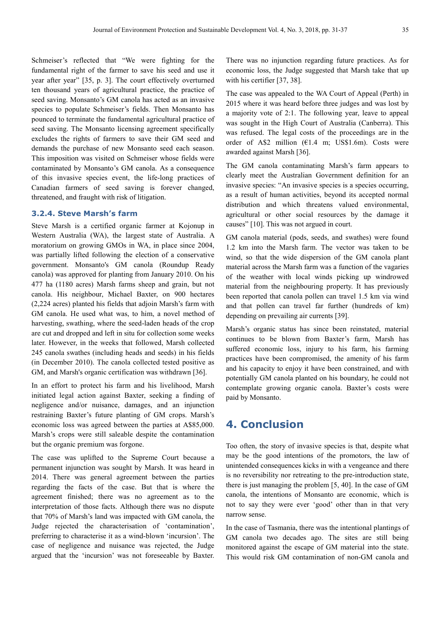Schmeiser's reflected that "We were fighting for the fundamental right of the farmer to save his seed and use it year after year" [35, p. 3]. The court effectively overturned ten thousand years of agricultural practice, the practice of seed saving. Monsanto's GM canola has acted as an invasive species to populate Schmeiser's fields. Then Monsanto has pounced to terminate the fundamental agricultural practice of seed saving. The Monsanto licensing agreement specifically excludes the rights of farmers to save their GM seed and demands the purchase of new Monsanto seed each season. This imposition was visited on Schmeiser whose fields were contaminated by Monsanto's GM canola. As a consequence of this invasive species event, the life-long practices of Canadian farmers of seed saving is forever changed, threatened, and fraught with risk of litigation.

#### **3.2.4. Steve Marsh's farm**

Steve Marsh is a certified organic farmer at Kojonup in Western Australia (WA), the largest state of Australia. A moratorium on growing GMOs in WA, in place since 2004, was partially lifted following the election of a conservative government. Monsanto's GM canola (Roundup Ready canola) was approved for planting from January 2010. On his 477 ha (1180 acres) Marsh farms sheep and grain, but not canola. His neighbour, Michael Baxter, on 900 hectares (2,224 acres) planted his fields that adjoin Marsh's farm with GM canola. He used what was, to him, a novel method of harvesting, swathing, where the seed-laden heads of the crop are cut and dropped and left in situ for collection some weeks later. However, in the weeks that followed, Marsh collected 245 canola swathes (including heads and seeds) in his fields (in December 2010). The canola collected tested positive as GM, and Marsh's organic certification was withdrawn [36].

In an effort to protect his farm and his livelihood, Marsh initiated legal action against Baxter, seeking a finding of negligence and/or nuisance, damages, and an injunction restraining Baxter's future planting of GM crops. Marsh's economic loss was agreed between the parties at A\$85,000. Marsh's crops were still saleable despite the contamination but the organic premium was forgone.

The case was uplifted to the Supreme Court because a permanent injunction was sought by Marsh. It was heard in 2014. There was general agreement between the parties regarding the facts of the case. But that is where the agreement finished; there was no agreement as to the interpretation of those facts. Although there was no dispute that 70% of Marsh's land was impacted with GM canola, the Judge rejected the characterisation of 'contamination', preferring to characterise it as a wind-blown 'incursion'. The case of negligence and nuisance was rejected, the Judge argued that the 'incursion' was not foreseeable by Baxter. There was no injunction regarding future practices. As for economic loss, the Judge suggested that Marsh take that up with his certifier [37, 38].

The case was appealed to the WA Court of Appeal (Perth) in 2015 where it was heard before three judges and was lost by a majority vote of 2:1. The following year, leave to appeal was sought in the High Court of Australia (Canberra). This was refused. The legal costs of the proceedings are in the order of A\$2 million (€1.4 m; US\$1.6m). Costs were awarded against Marsh [36].

The GM canola contaminating Marsh's farm appears to clearly meet the Australian Government definition for an invasive species: "An invasive species is a species occurring, as a result of human activities, beyond its accepted normal distribution and which threatens valued environmental, agricultural or other social resources by the damage it causes" [10]. This was not argued in court.

GM canola material (pods, seeds, and swathes) were found 1.2 km into the Marsh farm. The vector was taken to be wind, so that the wide dispersion of the GM canola plant material across the Marsh farm was a function of the vagaries of the weather with local winds picking up windrowed material from the neighbouring property. It has previously been reported that canola pollen can travel 1.5 km via wind and that pollen can travel far further (hundreds of km) depending on prevailing air currents [39].

Marsh's organic status has since been reinstated, material continues to be blown from Baxter's farm, Marsh has suffered economic loss, injury to his farm, his farming practices have been compromised, the amenity of his farm and his capacity to enjoy it have been constrained, and with potentially GM canola planted on his boundary, he could not contemplate growing organic canola. Baxter's costs were paid by Monsanto.

### **4. Conclusion**

Too often, the story of invasive species is that, despite what may be the good intentions of the promotors, the law of unintended consequences kicks in with a vengeance and there is no reversibility nor retreating to the pre-introduction state, there is just managing the problem [5, 40]. In the case of GM canola, the intentions of Monsanto are economic, which is not to say they were ever 'good' other than in that very narrow sense.

In the case of Tasmania, there was the intentional plantings of GM canola two decades ago. The sites are still being monitored against the escape of GM material into the state. This would risk GM contamination of non-GM canola and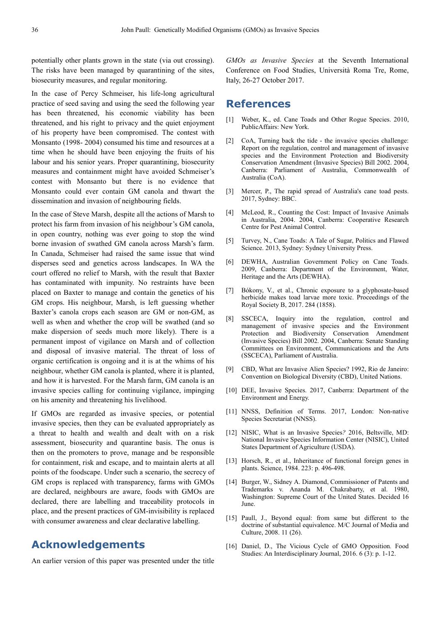potentially other plants grown in the state (via out crossing). The risks have been managed by quarantining of the sites, biosecurity measures, and regular monitoring.

In the case of Percy Schmeiser, his life-long agricultural practice of seed saving and using the seed the following year has been threatened, his economic viability has been threatened, and his right to privacy and the quiet enjoyment of his property have been compromised. The contest with Monsanto (1998- 2004) consumed his time and resources at a time when he should have been enjoying the fruits of his labour and his senior years. Proper quarantining, biosecurity measures and containment might have avoided Schmeiser's contest with Monsanto but there is no evidence that Monsanto could ever contain GM canola and thwart the dissemination and invasion of neighbouring fields.

In the case of Steve Marsh, despite all the actions of Marsh to protect his farm from invasion of his neighbour's GM canola, in open country, nothing was ever going to stop the wind borne invasion of swathed GM canola across Marsh's farm. In Canada, Schmeiser had raised the same issue that wind disperses seed and genetics across landscapes. In WA the court offered no relief to Marsh, with the result that Baxter has contaminated with impunity. No restraints have been placed on Baxter to manage and contain the genetics of his GM crops. His neighbour, Marsh, is left guessing whether Baxter's canola crops each season are GM or non-GM, as well as when and whether the crop will be swathed (and so make dispersion of seeds much more likely). There is a permanent impost of vigilance on Marsh and of collection and disposal of invasive material. The threat of loss of organic certification is ongoing and it is at the whims of his neighbour, whether GM canola is planted, where it is planted, and how it is harvested. For the Marsh farm, GM canola is an invasive species calling for continuing vigilance, impinging on his amenity and threatening his livelihood.

If GMOs are regarded as invasive species, or potential invasive species, then they can be evaluated appropriately as a threat to health and wealth and dealt with on a risk assessment, biosecurity and quarantine basis. The onus is then on the promoters to prove, manage and be responsible for containment, risk and escape, and to maintain alerts at all points of the foodscape. Under such a scenario, the secrecy of GM crops is replaced with transparency, farms with GMOs are declared, neighbours are aware, foods with GMOs are declared, there are labelling and traceability protocols in place, and the present practices of GM-invisibility is replaced with consumer awareness and clear declarative labelling.

### **Acknowledgements**

An earlier version of this paper was presented under the title

*GMOs as Invasive Species* at the Seventh International Conference on Food Studies, Università Roma Tre, Rome, Italy, 26-27 October 2017.

### **References**

- [1] Weber, K., ed. Cane Toads and Other Rogue Species. 2010, PublicAffairs: New York.
- [2] CoA, Turning back the tide the invasive species challenge: Report on the regulation, control and management of invasive species and the Environment Protection and Biodiversity Conservation Amendment (Invasive Species) Bill 2002. 2004, Canberra: Parliament of Australia, Commonwealth of Australia (CoA).
- [3] Mercer, P., The rapid spread of Australia's cane toad pests. 2017, Sydney: BBC.
- [4] McLeod, R., Counting the Cost: Impact of Invasive Animals in Australia, 2004. 2004, Canberra: Cooperative Research Centre for Pest Animal Control.
- [5] Turvey, N., Cane Toads: A Tale of Sugar, Politics and Flawed Science. 2013, Sydney: Sydney University Press.
- [6] DEWHA, Australian Government Policy on Cane Toads. 2009, Canberra: Department of the Environment, Water, Heritage and the Arts (DEWHA).
- [7] Bókony, V., et al., Chronic exposure to a glyphosate-based herbicide makes toad larvae more toxic. Proceedings of the Royal Society B, 2017. 284 (1858).
- [8] SSCECA, Inquiry into the regulation, control and management of invasive species and the Environment Protection and Biodiversity Conservation Amendment (Invasive Species) Bill 2002. 2004, Canberra: Senate Standing Committees on Environment, Communications and the Arts (SSCECA), Parliament of Australia.
- [9] CBD, What are Invasive Alien Species? 1992, Rio de Janeiro: Convention on Biological Diversity (CBD), United Nations.
- [10] DEE, Invasive Species. 2017, Canberra: Department of the Environment and Energy.
- [11] NNSS, Definition of Terms. 2017, London: Non-native Species Secretariat (NNSS).
- [12] NISIC, What is an Invasive Species*?* 2016, Beltsville, MD: National Invasive Species Information Center (NISIC), United States Department of Agriculture (USDA).
- [13] Horsch, R., et al., Inheritance of functional foreign genes in plants. Science, 1984. 223: p. 496-498.
- [14] Burger, W., Sidney A. Diamond, Commissioner of Patents and Trademarks v. Ananda M. Chakrabarty, et al. 1980, Washington: Supreme Court of the United States. Decided 16 June.
- [15] Paull, J., Beyond equal: from same but different to the doctrine of substantial equivalence. M/C Journal of Media and Culture, 2008. 11 (26).
- [16] Daniel, D., The Vicious Cycle of GMO Opposition*.* Food Studies: An Interdisciplinary Journal, 2016.  $6(3)$ : p. 1-12.